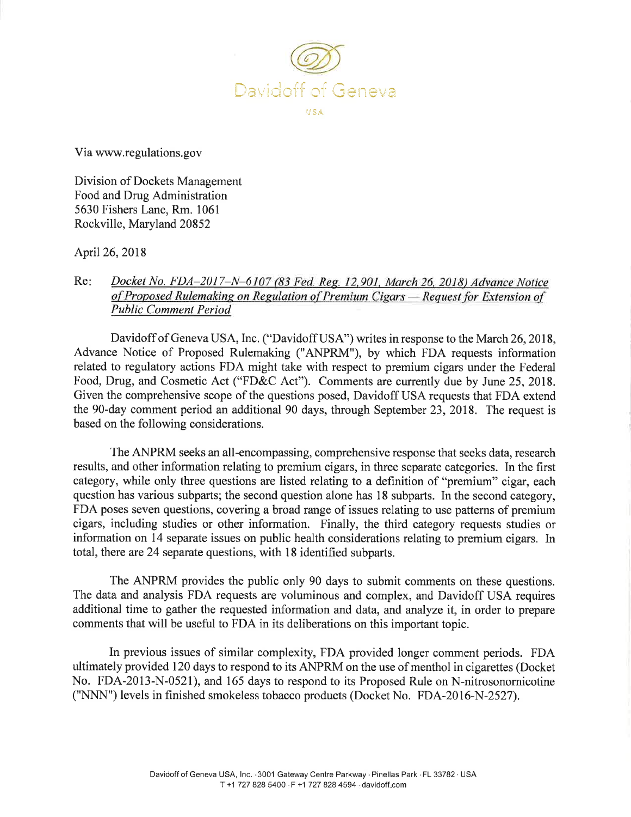

Via www.regulations.gov

Division of Dockets Management Food and Drug Administration 5630 Fishers Lane, Rm. 1061 Rockville, Maryland 20852

April 26, 2018

## Re: Docket No. FDA-2017-N-6107 (83 Fed. Reg. 12,901, March 26, 2018) Advance Notice *o[Proposed Rulemaking on Regulation o[Premium Cigars - Request for Exten ion o( Public Comment Period*

Davidoff of Geneva USA, Inc. ("Davidoff USA") writes in response to the March 26, 2018, Advance Notice of Proposed Rulemaking ("ANPRM"), by which FDA requests information related to regulatory actions FDA might take with respect to premium cigars under the Federal Food, Drug, and Cosmetic Act ("FD&C Act"). Comments are currently due by June 25, 2018. Given the comprehensive scope of the questions posed, Davidoff USA requests that FDA extend the 90-day comment period an additional 90 days, through September 23, 2018. The request is based on the following considerations.

The ANPRM seeks an all-encompassing, comprehensive response that seeks data, research results, and other information relating to premium cigars, in three separate categories. In the first category, while only three questions are listed relating to a definition of "premium" cigar, each question has various subparts; the second question alone has 18 subparts. In the second category, FDA poses seven questions, covering a broad range of issues relating to use patterns of premium cigars, including studies or other information. Finally, the third category requests studies or information on 14 separate issues on public health considerations relating to premium cigars. In total, there are 24 separate questions, with 18 identified subparts.

The ANPRM provides the public only 90 days to submit comments on these questions. The data and analysis FDA requests are voluminous and complex, and Davidoff USA requires additional time to gather the requested information and data, and analyze it, in order to prepare comments that will be useful to FDA in its deliberations on this important topic.

In previous issues of similar complexity, FDA provided longer comment periods. FDA ultimately provided 120 days to respond to its ANPRM on the use of menthol in cigarettes (Docket No. FDA-2013-N-0521), and 165 days to respond to its Proposed Rule on N-nitrosonornicotine ("NNN") levels in finished smokeless tobacco products (Docket No. FDA-2016-N-2527).